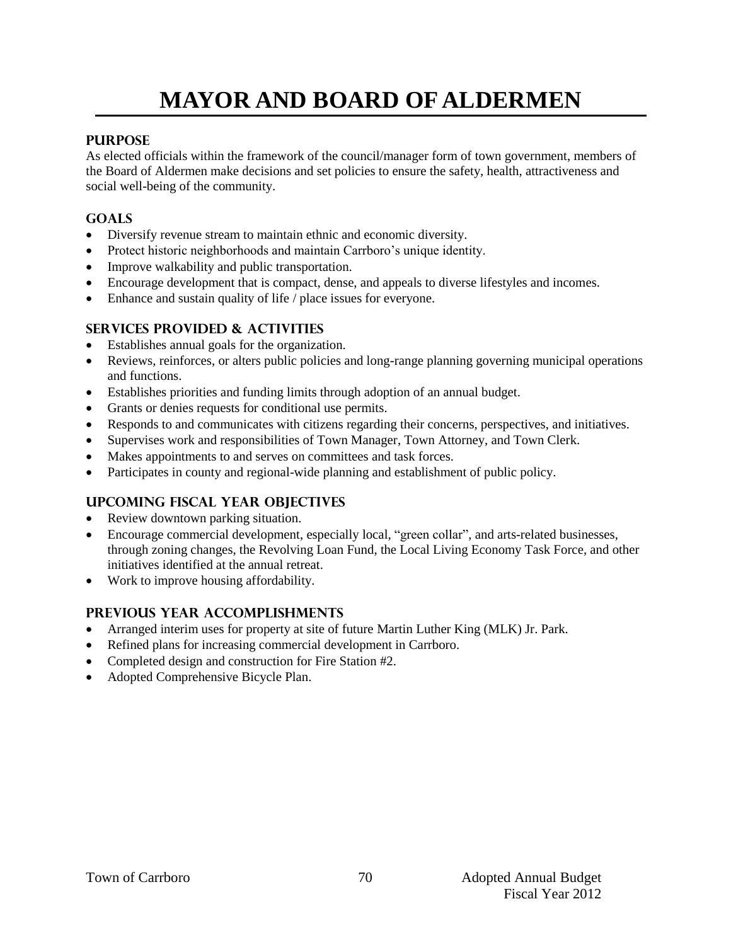# **MAYOR AND BOARD OF ALDERMEN**

#### **PURPOSE**

As elected officials within the framework of the council/manager form of town government, members of the Board of Aldermen make decisions and set policies to ensure the safety, health, attractiveness and social well-being of the community.

### **Goals**

- Diversify revenue stream to maintain ethnic and economic diversity.
- Protect historic neighborhoods and maintain Carrboro's unique identity.
- Improve walkability and public transportation.
- Encourage development that is compact, dense, and appeals to diverse lifestyles and incomes.
- Enhance and sustain quality of life / place issues for everyone.

# **Services provided & activities**

- Establishes annual goals for the organization.
- Reviews, reinforces, or alters public policies and long-range planning governing municipal operations and functions.
- Establishes priorities and funding limits through adoption of an annual budget.
- Grants or denies requests for conditional use permits.
- Responds to and communicates with citizens regarding their concerns, perspectives, and initiatives.
- Supervises work and responsibilities of Town Manager, Town Attorney, and Town Clerk.
- Makes appointments to and serves on committees and task forces.
- Participates in county and regional-wide planning and establishment of public policy.

# **Upcoming Fiscal year objectives**

- Review downtown parking situation.
- Encourage commercial development, especially local, "green collar", and arts-related businesses, through zoning changes, the Revolving Loan Fund, the Local Living Economy Task Force, and other initiatives identified at the annual retreat.
- Work to improve housing affordability.

- Arranged interim uses for property at site of future Martin Luther King (MLK) Jr. Park.
- Refined plans for increasing commercial development in Carrboro.
- Completed design and construction for Fire Station #2.
- Adopted Comprehensive Bicycle Plan.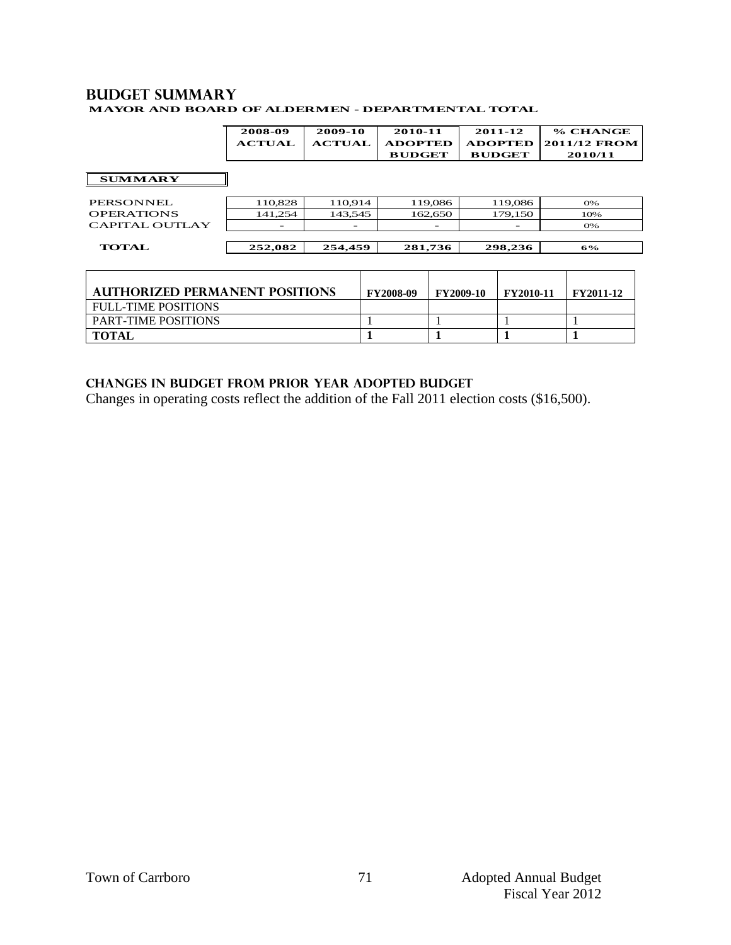#### **Budget summary MAYOR AND BOARD OF ALDERMEN - DEPARTMENTAL TOTAL**

|                       | 2008-09       | 2009-10       | 2010-11        | 2011-12        | % CHANGE            |
|-----------------------|---------------|---------------|----------------|----------------|---------------------|
|                       | <b>ACTUAL</b> | <b>ACTUAL</b> | <b>ADOPTED</b> | <b>ADOPTED</b> | <b>2011/12 FROM</b> |
|                       |               |               | <b>BUDGET</b>  | <b>BUDGET</b>  | 2010/11             |
|                       |               |               |                |                |                     |
| <b>SUMMARY</b>        |               |               |                |                |                     |
|                       |               |               |                |                |                     |
| PERSONNEL             | 110,828       | 110.914       | 119,086        | 119,086        | 0%                  |
| <b>OPERATIONS</b>     | 141.254       | 143.545       | 162,650        | 179,150        | 10%                 |
| <b>CAPITAL OUTLAY</b> |               |               |                |                | <b>O%</b>           |
|                       |               |               |                |                |                     |
| <b>TOTAL</b>          | 252,082       | 254,459       | 281,736        | 298,236        | 6%                  |
|                       |               |               |                |                |                     |
|                       |               |               |                |                |                     |

| <b>AUTHORIZED PERMANENT POSITIONS</b> | <b>FY2008-09</b> | <b>FY2009-10</b> | FY2010-11 | <b>FY2011-12</b> |
|---------------------------------------|------------------|------------------|-----------|------------------|
| <b>FULL-TIME POSITIONS</b>            |                  |                  |           |                  |
| <b>PART-TIME POSITIONS</b>            |                  |                  |           |                  |
| <b>TOTAL</b>                          |                  |                  |           |                  |

# **Changes in budget from prior year adopted budget**

Changes in operating costs reflect the addition of the Fall 2011 election costs (\$16,500).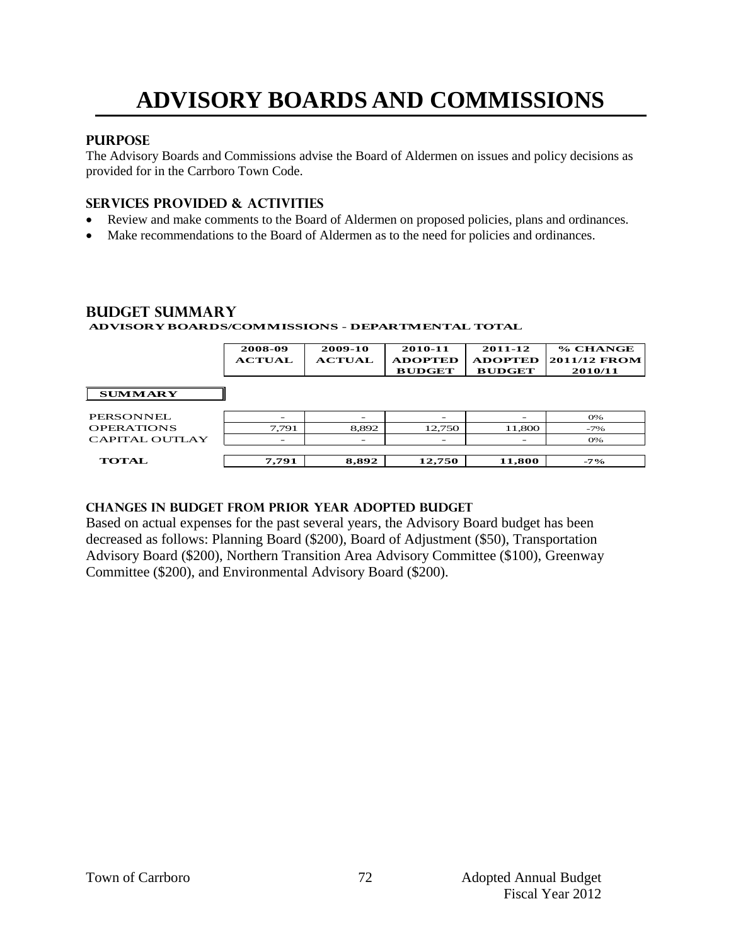# **ADVISORY BOARDS AND COMMISSIONS**

#### **PURPOSE**

The Advisory Boards and Commissions advise the Board of Aldermen on issues and policy decisions as provided for in the Carrboro Town Code.

### **Services provided & activities**

- Review and make comments to the Board of Aldermen on proposed policies, plans and ordinances.
- Make recommendations to the Board of Aldermen as to the need for policies and ordinances.

### **Budget summary ADVISORY BOARDS/COMMISSIONS - DEPARTMENTAL TOTAL**

|                       | 2008-09<br><b>ACTUAL</b> | 2009-10<br><b>ACTUAL</b> | 2010-11<br><b>ADOPTED</b><br><b>BUDGET</b> | 2011-12<br><b>ADOPTED</b><br><b>BUDGET</b> | % CHANGE<br><b>2011/12 FROM</b><br>2010/11 |
|-----------------------|--------------------------|--------------------------|--------------------------------------------|--------------------------------------------|--------------------------------------------|
| <b>SUMMARY</b>        |                          |                          |                                            |                                            |                                            |
| <b>PERSONNEL</b>      | -                        |                          | $\overline{\phantom{a}}$                   | -                                          | 0%                                         |
| <b>OPERATIONS</b>     | 7,791                    | 8,892                    | 12,750                                     | 11,800                                     | $-7%$                                      |
| <b>CAPITAL OUTLAY</b> | -                        |                          |                                            |                                            | 0%                                         |
| <b>TOTAL</b>          | 7,791                    | 8,892                    | 12,750                                     | 11,800                                     | $-7\%$                                     |

#### **changes in budget from prior year adopted budget**

Based on actual expenses for the past several years, the Advisory Board budget has been decreased as follows: Planning Board (\$200), Board of Adjustment (\$50), Transportation Advisory Board (\$200), Northern Transition Area Advisory Committee (\$100), Greenway Committee (\$200), and Environmental Advisory Board (\$200).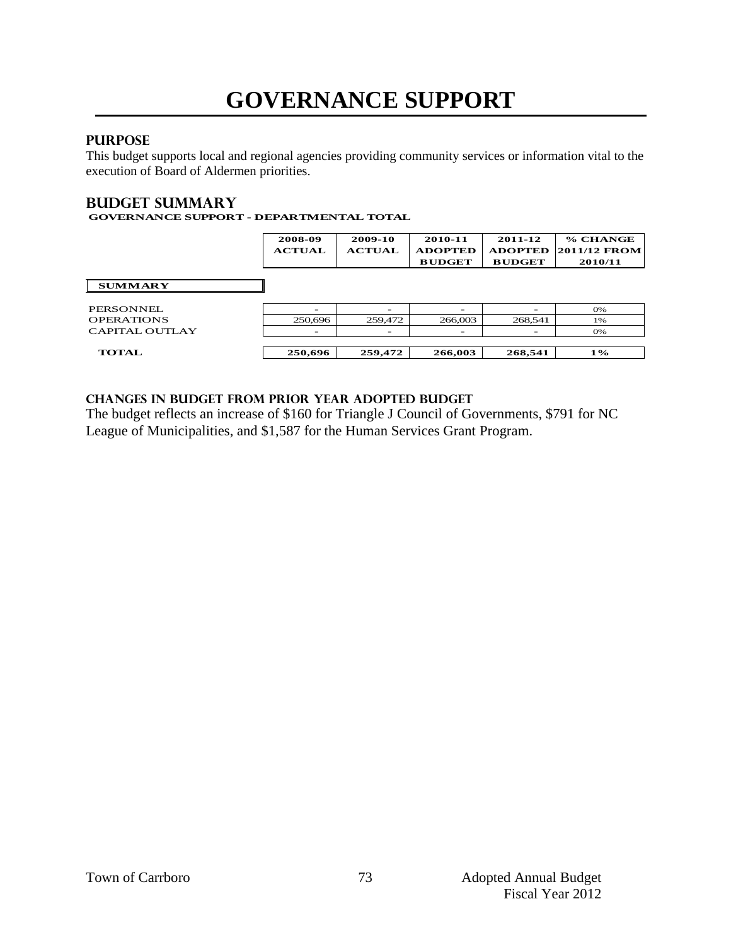# **GOVERNANCE SUPPORT**

# **PURPOSE**

This budget supports local and regional agencies providing community services or information vital to the execution of Board of Aldermen priorities.

# **Budget summary**

#### **GOVERNANCE SUPPORT - DEPARTMENTAL TOTAL**

|                   | 2008-09<br><b>ACTUAL</b> | 2009-10<br><b>ACTUAL</b> | 2010-11<br><b>ADOPTED</b><br><b>BUDGET</b> | 2011-12<br><b>ADOPTED</b><br><b>BUDGET</b> | % CHANGE<br><b>2011/12 FROM</b><br>2010/11 |
|-------------------|--------------------------|--------------------------|--------------------------------------------|--------------------------------------------|--------------------------------------------|
| <b>SUMMARY</b>    |                          |                          |                                            |                                            |                                            |
| PERSONNEL         | -                        | -                        | -                                          |                                            | 0%                                         |
| <b>OPERATIONS</b> | 250,696                  | 259,472                  | 266,003                                    | 268.541                                    | 1%                                         |
| CAPITAL OUTLAY    | $\overline{\phantom{a}}$ | $\overline{\phantom{a}}$ | $\overline{\phantom{a}}$                   | -                                          | 0%                                         |
| <b>TOTAL</b>      | 250,696                  | 259,472                  | 266,003                                    | 268,541                                    | $1\%$                                      |

### **changes in budget from prior year adopted budget**

The budget reflects an increase of \$160 for Triangle J Council of Governments, \$791 for NC League of Municipalities, and \$1,587 for the Human Services Grant Program.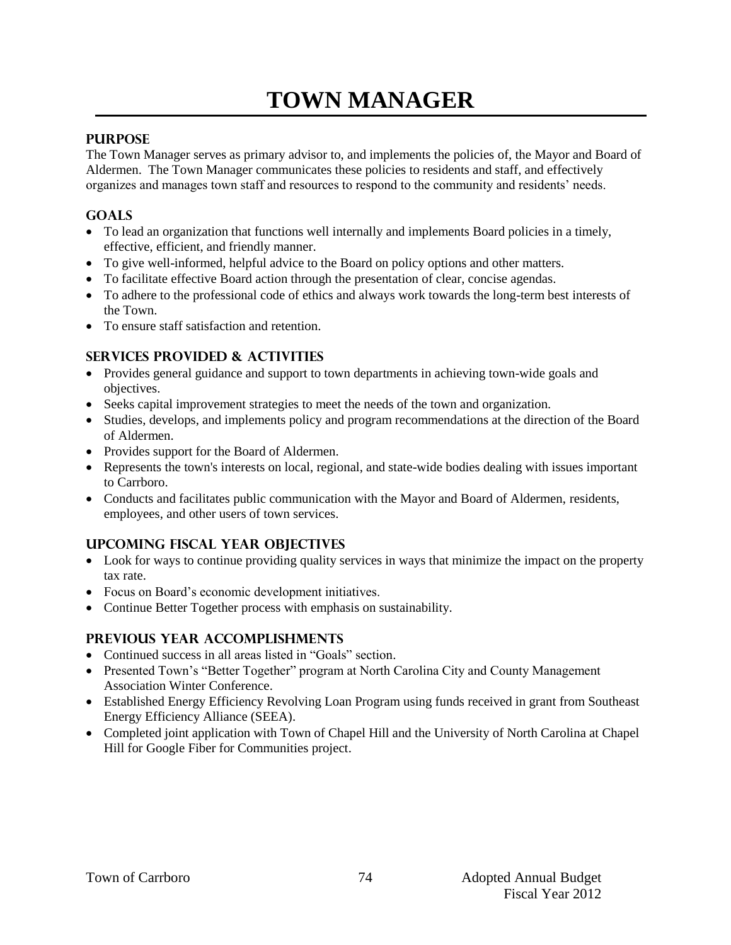# **TOWN MANAGER**

### **PURPOSE**

The Town Manager serves as primary advisor to, and implements the policies of, the Mayor and Board of Aldermen. The Town Manager communicates these policies to residents and staff, and effectively organizes and manages town staff and resources to respond to the community and residents' needs.

# **GOALS**

- To lead an organization that functions well internally and implements Board policies in a timely, effective, efficient, and friendly manner.
- To give well-informed, helpful advice to the Board on policy options and other matters.
- To facilitate effective Board action through the presentation of clear, concise agendas.
- To adhere to the professional code of ethics and always work towards the long-term best interests of the Town.
- To ensure staff satisfaction and retention

# **SERVICES PROVIDED & ACTIVITIES**

- Provides general guidance and support to town departments in achieving town-wide goals and objectives.
- Seeks capital improvement strategies to meet the needs of the town and organization.
- Studies, develops, and implements policy and program recommendations at the direction of the Board of Aldermen.
- Provides support for the Board of Aldermen.
- Represents the town's interests on local, regional, and state-wide bodies dealing with issues important to Carrboro.
- Conducts and facilitates public communication with the Mayor and Board of Aldermen, residents, employees, and other users of town services.

# **UPCOMING FISCAL YEAR OBJECTIVES**

- Look for ways to continue providing quality services in ways that minimize the impact on the property tax rate.
- Focus on Board's economic development initiatives.
- Continue Better Together process with emphasis on sustainability.

# **PREVIOUS YEAR ACCOMPLISHMENTS**

- Continued success in all areas listed in "Goals" section.
- Presented Town's "Better Together" program at North Carolina City and County Management Association Winter Conference.
- Established Energy Efficiency Revolving Loan Program using funds received in grant from Southeast Energy Efficiency Alliance (SEEA).
- Completed joint application with Town of Chapel Hill and the University of North Carolina at Chapel Hill for Google Fiber for Communities project.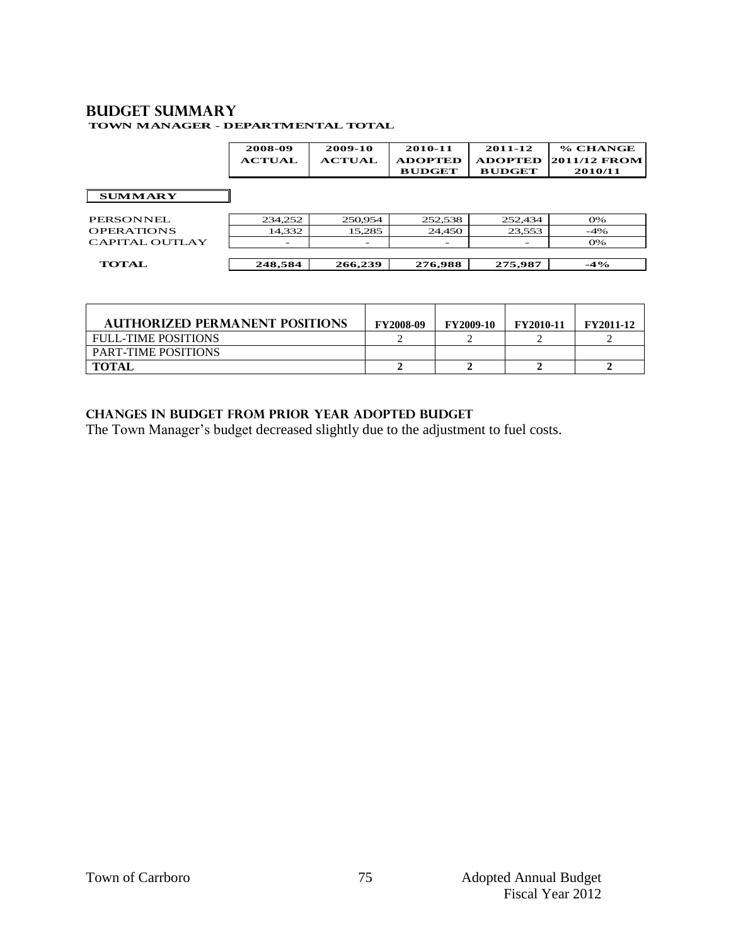### **Budget summary**

#### **TOWN MANAGER - DEPARTMENTAL TOTAL**

| 2008-09 | 2009-10       | 2010-11       | 2011-12        | % CHANGE<br>2011/12 FROM |
|---------|---------------|---------------|----------------|--------------------------|
|         |               | <b>BUDGET</b> | <b>BUDGET</b>  | 2010/11                  |
|         |               |               |                |                          |
|         |               |               |                |                          |
| 234,252 | 250,954       | 252,538       | 252,434        | 0%                       |
| 14,332  | 15,285        | 24,450        | 23,553         | $-4%$                    |
|         |               |               |                | 0%                       |
| 248,584 | 266,239       | 276,988       | 275,987        | $-4\%$                   |
|         | <b>ACTUAL</b> | <b>ACTUAL</b> | <b>ADOPTED</b> | <b>ADOPTED</b>           |

| <b>AUTHORIZED PERMANENT POSITIONS</b> | <b>FY2008-09</b> | <b>FY2009-10</b> | <b>FY2010-11</b> | <b>FY2011-12</b> |
|---------------------------------------|------------------|------------------|------------------|------------------|
| <b>FULL-TIME POSITIONS</b>            |                  |                  |                  |                  |
| <b>PART-TIME POSITIONS</b>            |                  |                  |                  |                  |
| TOTAL                                 |                  |                  |                  |                  |

### **Changes in budget from prior year adopted budget**

The Town Manager's budget decreased slightly due to the adjustment to fuel costs.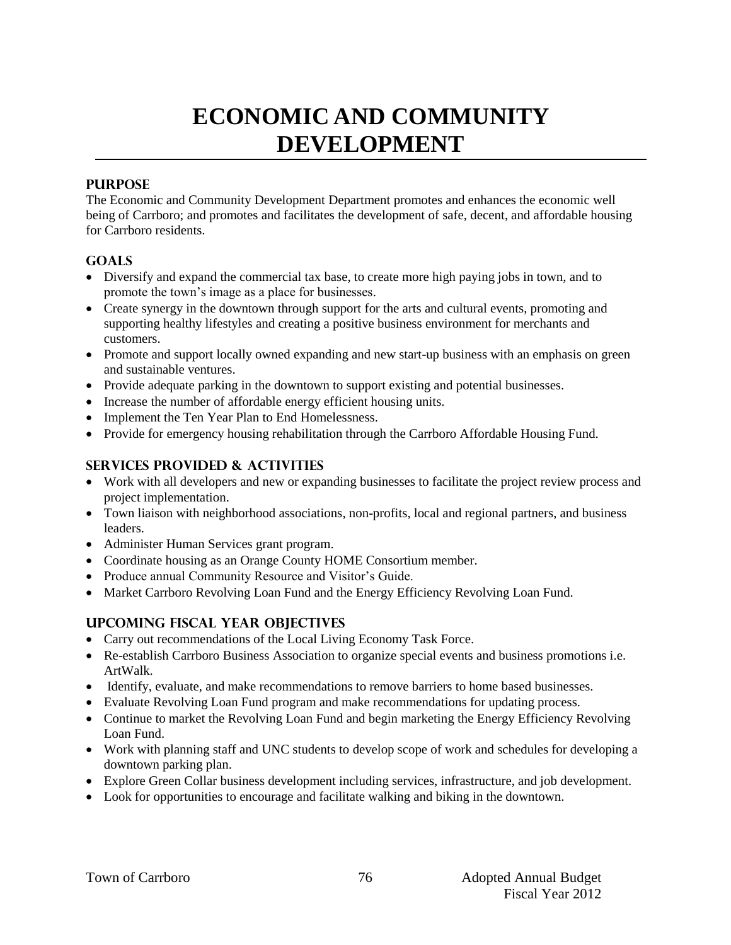# **ECONOMIC AND COMMUNITY DEVELOPMENT**

#### **PURPOSE**

The Economic and Community Development Department promotes and enhances the economic well being of Carrboro; and promotes and facilitates the development of safe, decent, and affordable housing for Carrboro residents.

#### **Goals**

- Diversify and expand the commercial tax base, to create more high paying jobs in town, and to promote the town's image as a place for businesses.
- Create synergy in the downtown through support for the arts and cultural events, promoting and supporting healthy lifestyles and creating a positive business environment for merchants and customers.
- Promote and support locally owned expanding and new start-up business with an emphasis on green and sustainable ventures.
- Provide adequate parking in the downtown to support existing and potential businesses.
- Increase the number of affordable energy efficient housing units.
- Implement the Ten Year Plan to End Homelessness.
- Provide for emergency housing rehabilitation through the Carrboro Affordable Housing Fund.

# **Services provided & activities**

- Work with all developers and new or expanding businesses to facilitate the project review process and project implementation.
- Town liaison with neighborhood associations, non-profits, local and regional partners, and business leaders.
- Administer Human Services grant program.
- Coordinate housing as an Orange County HOME Consortium member.
- Produce annual Community Resource and Visitor's Guide.
- Market Carrboro Revolving Loan Fund and the Energy Efficiency Revolving Loan Fund.

# **Upcoming Fiscal year objectives**

- Carry out recommendations of the Local Living Economy Task Force.
- Re-establish Carrboro Business Association to organize special events and business promotions i.e. ArtWalk.
- Identify, evaluate, and make recommendations to remove barriers to home based businesses.
- Evaluate Revolving Loan Fund program and make recommendations for updating process.
- Continue to market the Revolving Loan Fund and begin marketing the Energy Efficiency Revolving Loan Fund.
- Work with planning staff and UNC students to develop scope of work and schedules for developing a downtown parking plan.
- Explore Green Collar business development including services, infrastructure, and job development.
- Look for opportunities to encourage and facilitate walking and biking in the downtown.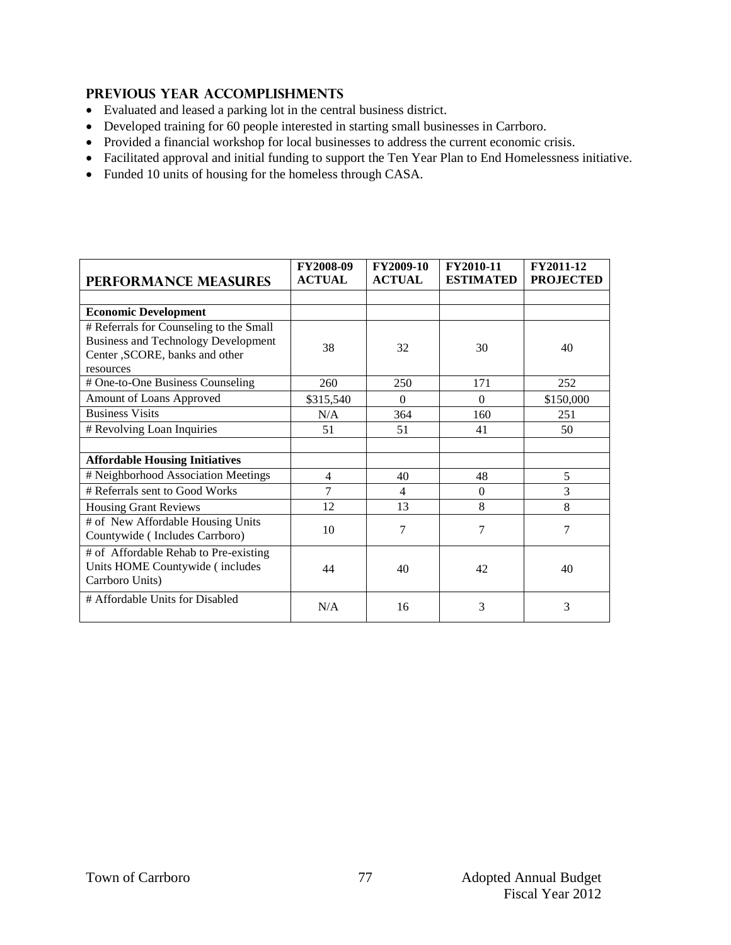- Evaluated and leased a parking lot in the central business district.
- Developed training for 60 people interested in starting small businesses in Carrboro.
- Provided a financial workshop for local businesses to address the current economic crisis.
- Facilitated approval and initial funding to support the Ten Year Plan to End Homelessness initiative.
- Funded 10 units of housing for the homeless through CASA.

|                                            | <b>FY2008-09</b> | FY2009-10     | FY2010-11        | FY2011-12        |
|--------------------------------------------|------------------|---------------|------------------|------------------|
| <b>PERFORMANCE MEASURES</b>                | <b>ACTUAL</b>    | <b>ACTUAL</b> | <b>ESTIMATED</b> | <b>PROJECTED</b> |
|                                            |                  |               |                  |                  |
| <b>Economic Development</b>                |                  |               |                  |                  |
| # Referrals for Counseling to the Small    |                  |               |                  |                  |
| <b>Business and Technology Development</b> | 38               | 32            | 30               | 40               |
| Center , SCORE, banks and other            |                  |               |                  |                  |
| resources                                  |                  |               |                  |                  |
| # One-to-One Business Counseling           | 260              | 250           | 171              | 252              |
| Amount of Loans Approved                   | \$315,540        | $\Omega$      | $\Omega$         | \$150,000        |
| <b>Business Visits</b>                     | N/A              | 364           | 160              | 251              |
| # Revolving Loan Inquiries                 | 51               | 51            | 41               | 50               |
|                                            |                  |               |                  |                  |
| <b>Affordable Housing Initiatives</b>      |                  |               |                  |                  |
| # Neighborhood Association Meetings        | $\overline{4}$   | 40            | 48               | 5                |
| # Referrals sent to Good Works             | 7                | 4             | $\Omega$         | 3                |
| <b>Housing Grant Reviews</b>               | 12               | 13            | 8                | 8                |
| # of New Affordable Housing Units          | 10               | 7             | 7                | 7                |
| Countywide (Includes Carrboro)             |                  |               |                  |                  |
| # of Affordable Rehab to Pre-existing      |                  |               |                  |                  |
| Units HOME Countywide (includes            | 44               | 40            | 42               | 40               |
| Carrboro Units)                            |                  |               |                  |                  |
| # Affordable Units for Disabled            | N/A              | 16            | 3                | 3                |
|                                            |                  |               |                  |                  |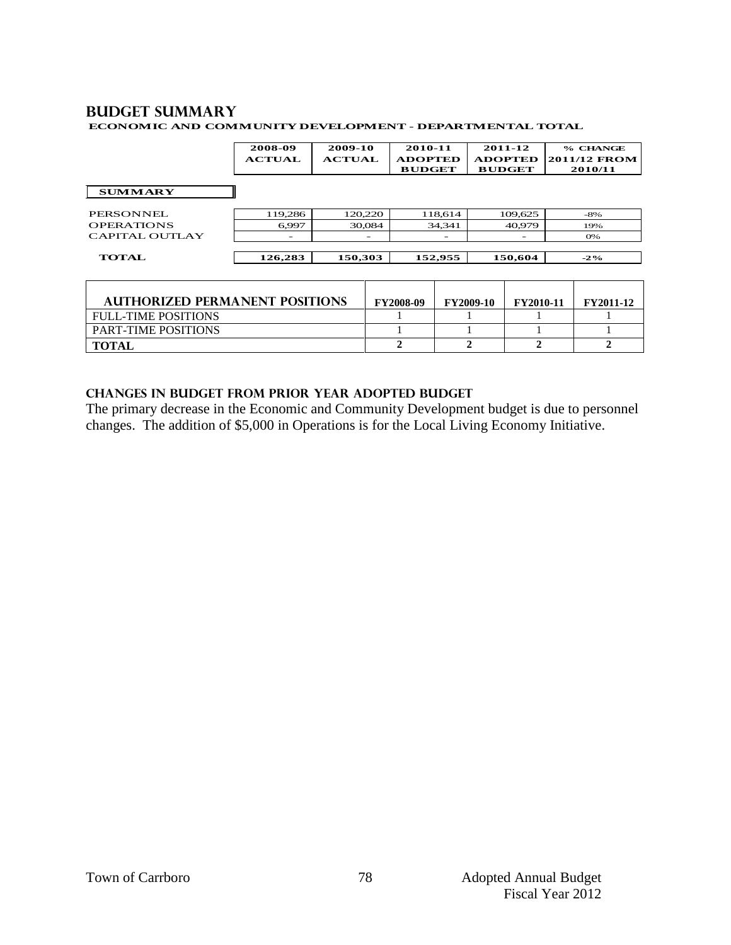# **Budget summary ECONOMIC AND COMMUNITY DEVELOPMENT - DEPARTMENTAL TOTAL 2008-09 2009-10 2010-11 2011-12 % CHANGE**

|                   | 2008-09<br><b>ACTUAL</b> | 2009-10<br><b>ACTUAL</b> | 2010-11<br><b>ADOPTED</b> | 2011-12<br><b>ADOPTED</b> | % CHANGE<br><b>2011/12 FROM</b> |
|-------------------|--------------------------|--------------------------|---------------------------|---------------------------|---------------------------------|
|                   |                          |                          | <b>BUDGET</b>             | <b>BUDGET</b>             | 2010/11                         |
| <b>SUMMARY</b>    |                          |                          |                           |                           |                                 |
| <b>PERSONNEL</b>  | 119,286                  | 120,220                  | 118,614                   | 109,625                   | $-8%$                           |
| <b>OPERATIONS</b> | 6.997                    | 30.084                   | 34.341                    | 40.979                    | 19%                             |
| CAPITAL OUTLAY    | -                        |                          | $\overline{\phantom{a}}$  |                           | 0%                              |
| <b>TOTAL</b>      | 126,283                  | 150,303                  | 152,955                   | 150,604                   | $-2\%$                          |
|                   |                          |                          |                           |                           |                                 |
|                   |                          |                          |                           |                           |                                 |

| <b>AUTHORIZED PERMANENT POSITIONS</b> | <b>FY2008-09</b> | <b>FY2009-10</b> | <b>FY2010-11</b> | <b>FY2011-12</b> |
|---------------------------------------|------------------|------------------|------------------|------------------|
| <b>FULL-TIME POSITIONS</b>            |                  |                  |                  |                  |
| <b>PART-TIME POSITIONS</b>            |                  |                  |                  |                  |
| <b>TOTAL</b>                          |                  |                  |                  |                  |

### **Changes in budget from prior year adopted budget**

The primary decrease in the Economic and Community Development budget is due to personnel changes. The addition of \$5,000 in Operations is for the Local Living Economy Initiative.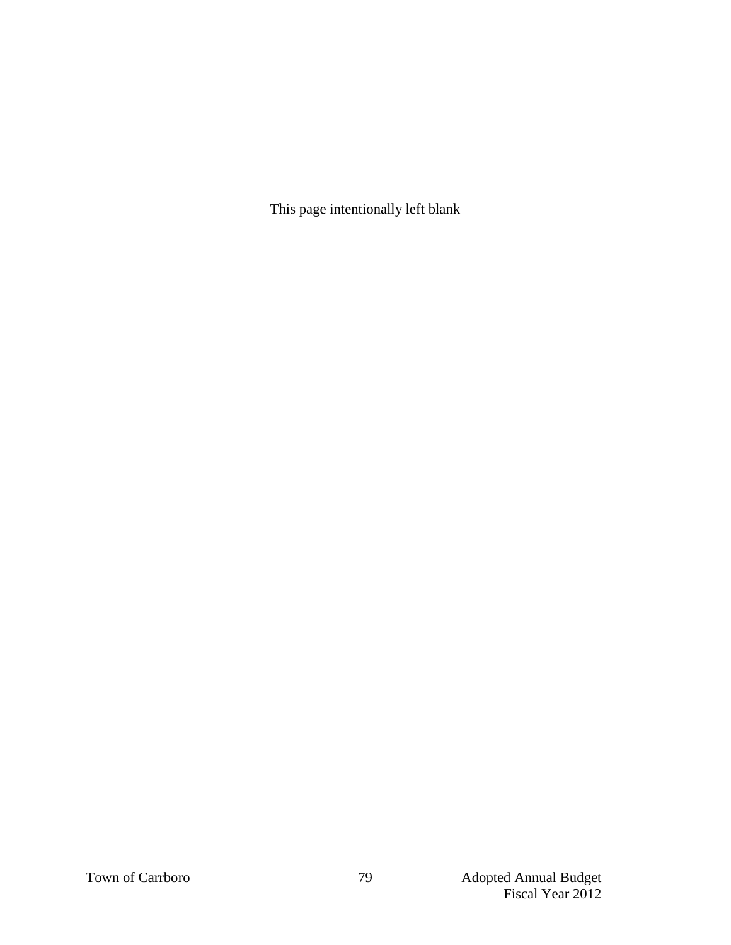This page intentionally left blank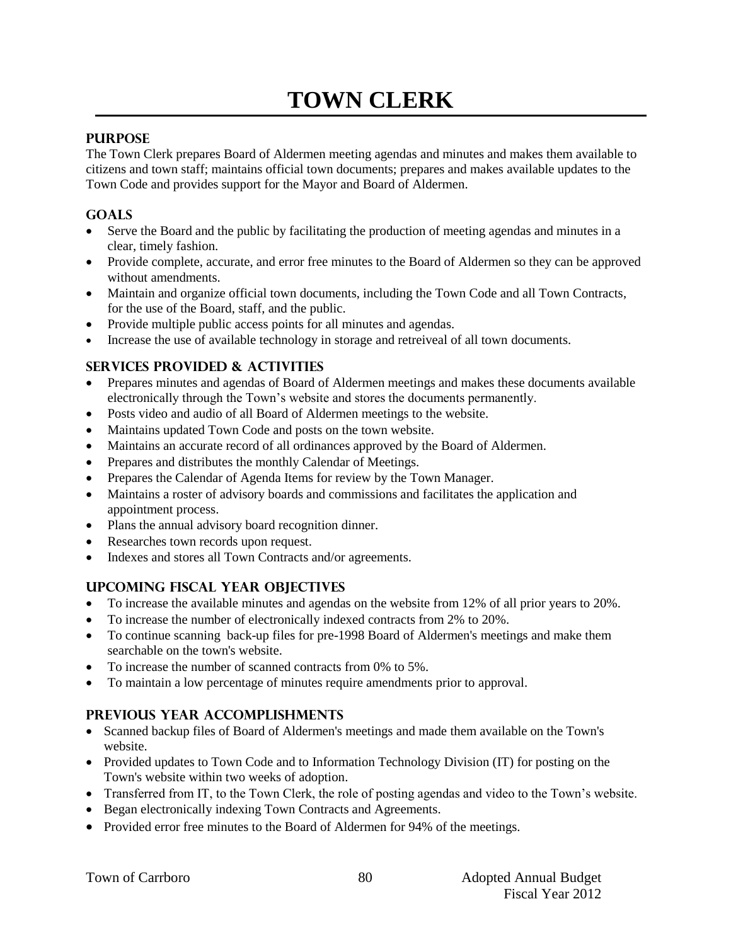# **TOWN CLERK**

#### **PURPOSE**

The Town Clerk prepares Board of Aldermen meeting agendas and minutes and makes them available to citizens and town staff; maintains official town documents; prepares and makes available updates to the Town Code and provides support for the Mayor and Board of Aldermen.

### **Goals**

- Serve the Board and the public by facilitating the production of meeting agendas and minutes in a clear, timely fashion.
- Provide complete, accurate, and error free minutes to the Board of Aldermen so they can be approved without amendments.
- Maintain and organize official town documents, including the Town Code and all Town Contracts, for the use of the Board, staff, and the public.
- Provide multiple public access points for all minutes and agendas.
- Increase the use of available technology in storage and retreiveal of all town documents.

# **Services provided & activities**

- Prepares minutes and agendas of Board of Aldermen meetings and makes these documents available electronically through the Town's website and stores the documents permanently.
- Posts video and audio of all Board of Aldermen meetings to the website.
- Maintains updated Town Code and posts on the town website.
- Maintains an accurate record of all ordinances approved by the Board of Aldermen.
- Prepares and distributes the monthly Calendar of Meetings.
- Prepares the Calendar of Agenda Items for review by the Town Manager.
- Maintains a roster of advisory boards and commissions and facilitates the application and appointment process.
- Plans the annual advisory board recognition dinner.
- Researches town records upon request.
- Indexes and stores all Town Contracts and/or agreements.

#### **Upcoming Fiscal year objectives**

- To increase the available minutes and agendas on the website from 12% of all prior years to 20%.
- To increase the number of electronically indexed contracts from 2% to 20%.
- To continue scanning back-up files for pre-1998 Board of Aldermen's meetings and make them searchable on the town's website.
- To increase the number of scanned contracts from 0% to 5%.
- To maintain a low percentage of minutes require amendments prior to approval.

- Scanned backup files of Board of Aldermen's meetings and made them available on the Town's website.
- Provided updates to Town Code and to Information Technology Division (IT) for posting on the Town's website within two weeks of adoption.
- Transferred from IT, to the Town Clerk, the role of posting agendas and video to the Town's website.
- Began electronically indexing Town Contracts and Agreements.
- Provided error free minutes to the Board of Aldermen for 94% of the meetings.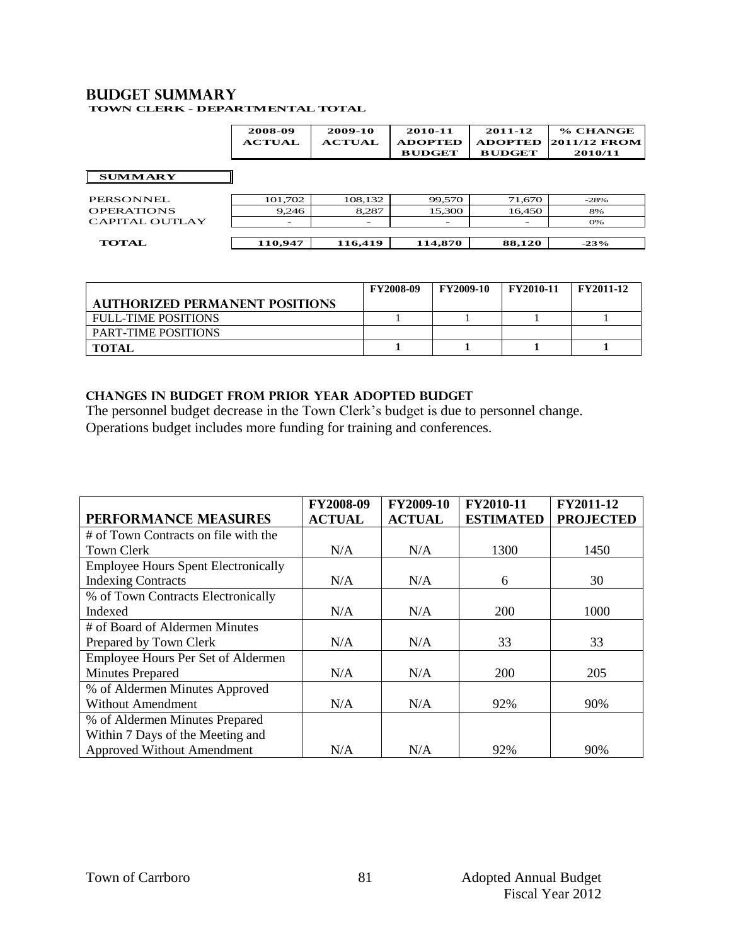#### **Budget summary TOWN CLERK - DEPARTMENTAL TOTAL**

|                   | 2008-09<br><b>ACTUAL</b> | 2009-10<br><b>ACTUAL</b> | 2010-11<br><b>ADOPTED</b><br><b>BUDGET</b> | 2011-12<br><b>ADOPTED</b><br><b>BUDGET</b> | % CHANGE<br>2011/12 FROM<br>2010/11 |
|-------------------|--------------------------|--------------------------|--------------------------------------------|--------------------------------------------|-------------------------------------|
| <b>SUMMARY</b>    |                          |                          |                                            |                                            |                                     |
| PERSONNEL.        | 101,702                  | 108,132                  | 99,570                                     | 71,670                                     | $-28%$                              |
| <b>OPERATIONS</b> | 9.246                    | 8.287                    | 15,300                                     | 16.450                                     | 8%                                  |
| CAPITAL OUTLAY    |                          | $\overline{\phantom{a}}$ | $\overline{\phantom{0}}$                   | $\overline{\phantom{0}}$                   | <b>O%</b>                           |
| <b>TOTAL</b>      | 110,947                  | 116,419                  | 114,870                                    | 88,120                                     | $-23%$                              |

|                                       | <b>FY2008-09</b> | FY2009-10 | <b>FY2010-11</b> | FY2011-12 |
|---------------------------------------|------------------|-----------|------------------|-----------|
| <b>AUTHORIZED PERMANENT POSITIONS</b> |                  |           |                  |           |
| <b>FULL-TIME POSITIONS</b>            |                  |           |                  |           |
| <b>PART-TIME POSITIONS</b>            |                  |           |                  |           |
| <b>TOTAL</b>                          |                  |           |                  |           |

#### **Changes in budget from prior year adopted budget**

The personnel budget decrease in the Town Clerk's budget is due to personnel change. Operations budget includes more funding for training and conferences.

|                                            | FY2008-09     | FY2009-10     | FY2010-11        | FY2011-12        |
|--------------------------------------------|---------------|---------------|------------------|------------------|
| PERFORMANCE MEASURES                       | <b>ACTUAL</b> | <b>ACTUAL</b> | <b>ESTIMATED</b> | <b>PROJECTED</b> |
| # of Town Contracts on file with the       |               |               |                  |                  |
| <b>Town Clerk</b>                          | N/A           | N/A           | 1300             | 1450             |
| <b>Employee Hours Spent Electronically</b> |               |               |                  |                  |
| <b>Indexing Contracts</b>                  | N/A           | N/A           | 6                | 30               |
| % of Town Contracts Electronically         |               |               |                  |                  |
| Indexed                                    | N/A           | N/A           | 200              | 1000             |
| # of Board of Aldermen Minutes             |               |               |                  |                  |
| Prepared by Town Clerk                     | N/A           | N/A           | 33               | 33               |
| Employee Hours Per Set of Aldermen         |               |               |                  |                  |
| Minutes Prepared                           | N/A           | N/A           | 200              | 205              |
| % of Aldermen Minutes Approved             |               |               |                  |                  |
| <b>Without Amendment</b>                   | N/A           | N/A           | 92%              | 90%              |
| % of Aldermen Minutes Prepared             |               |               |                  |                  |
| Within 7 Days of the Meeting and           |               |               |                  |                  |
| <b>Approved Without Amendment</b>          | N/A           | N/A           | 92%              | 90%              |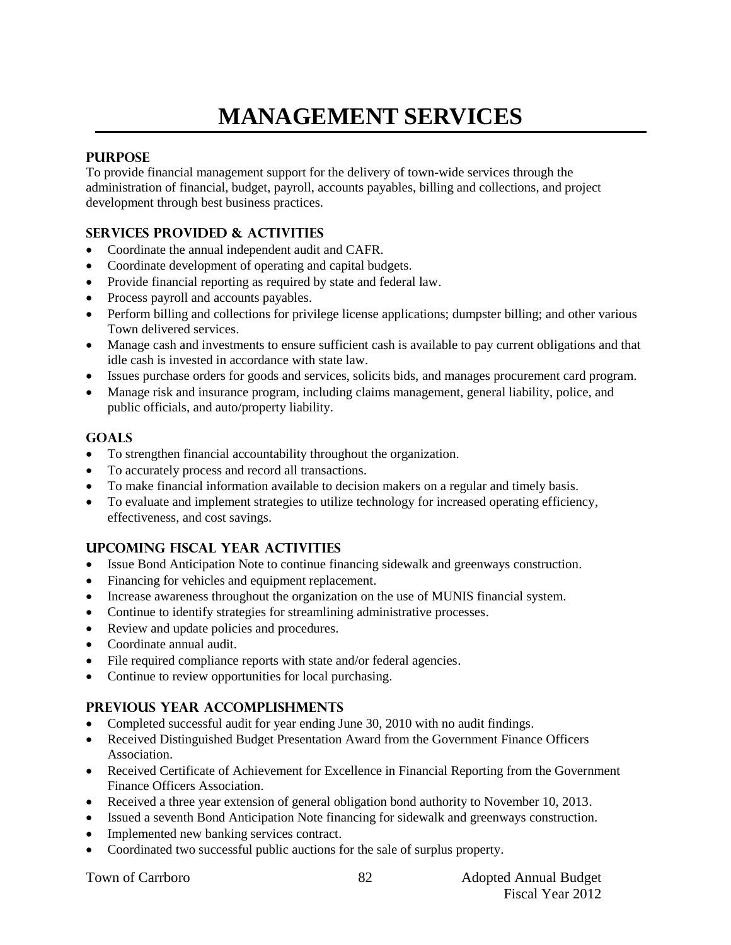# **MANAGEMENT SERVICES**

### **PURPOSE**

To provide financial management support for the delivery of town-wide services through the administration of financial, budget, payroll, accounts payables, billing and collections, and project development through best business practices.

### **SERVICES PROVIDED & ACTIVITIES**

- Coordinate the annual independent audit and CAFR.
- Coordinate development of operating and capital budgets.
- Provide financial reporting as required by state and federal law.
- Process payroll and accounts payables.
- Perform billing and collections for privilege license applications; dumpster billing; and other various Town delivered services.
- Manage cash and investments to ensure sufficient cash is available to pay current obligations and that idle cash is invested in accordance with state law.
- Issues purchase orders for goods and services, solicits bids, and manages procurement card program.
- Manage risk and insurance program, including claims management, general liability, police, and public officials, and auto/property liability.

#### **GOALS**

- To strengthen financial accountability throughout the organization.
- To accurately process and record all transactions.
- To make financial information available to decision makers on a regular and timely basis.
- To evaluate and implement strategies to utilize technology for increased operating efficiency, effectiveness, and cost savings.

# **UPCOMING FISCAL YEAR ACTIVITIES**

- Issue Bond Anticipation Note to continue financing sidewalk and greenways construction.
- Financing for vehicles and equipment replacement.
- Increase awareness throughout the organization on the use of MUNIS financial system.
- Continue to identify strategies for streamlining administrative processes.
- Review and update policies and procedures.
- Coordinate annual audit.
- File required compliance reports with state and/or federal agencies.
- Continue to review opportunities for local purchasing.

#### **PREVIOUS YEAR ACCOMPLISHMENTS**

- Completed successful audit for year ending June 30, 2010 with no audit findings.
- Received Distinguished Budget Presentation Award from the Government Finance Officers Association.
- Received Certificate of Achievement for Excellence in Financial Reporting from the Government Finance Officers Association.
- Received a three year extension of general obligation bond authority to November 10, 2013.
- Issued a seventh Bond Anticipation Note financing for sidewalk and greenways construction.
- Implemented new banking services contract.
- Coordinated two successful public auctions for the sale of surplus property.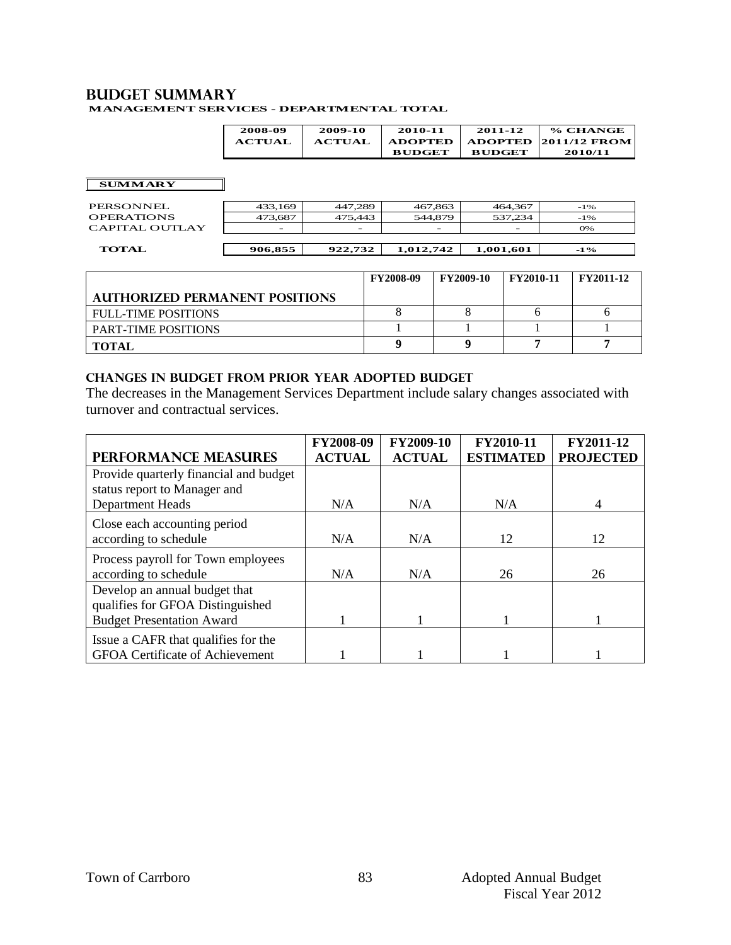#### **Budget summary MANAGEMENT SERVICES - DEPARTMENTAL TOTAL**

| 2008-09       | 2009-10       | 2010-11        | 2011-12       | % CHANGE                           |
|---------------|---------------|----------------|---------------|------------------------------------|
| <b>ACTUAL</b> | <b>ACTUAL</b> | <b>ADOPTED</b> |               | $\mid$ ADOPTED $\mid$ 2011/12 FROM |
|               |               | <b>BUDGET</b>  | <b>BUDGET</b> | 2010/11                            |

#### **SUMMARY**

| <b>TOTAL</b>      | 906.855                  | 922.732 | 1.012.742 | 1.001.601                | $-1\%$    |
|-------------------|--------------------------|---------|-----------|--------------------------|-----------|
|                   |                          |         |           |                          |           |
| CAPITAL OUTLAY    | $\overline{\phantom{a}}$ | ۰.      |           | $\overline{\phantom{a}}$ | <b>O%</b> |
| <b>OPERATIONS</b> | 473.687                  | 475,443 | 544.879   | 537.234                  | $-1\%$    |
| PERSONNEL.        | 433.169                  | 447.289 | 467,863   | 464.367                  | $-1\%$    |
|                   |                          |         |           |                          |           |

|                                       | <b>FY2008-09</b> | <b>FY2009-10</b> | <b>FY2010-11</b> | <b>FY2011-12</b> |
|---------------------------------------|------------------|------------------|------------------|------------------|
| <b>AUTHORIZED PERMANENT POSITIONS</b> |                  |                  |                  |                  |
| <b>FULL-TIME POSITIONS</b>            |                  |                  |                  |                  |
| <b>PART-TIME POSITIONS</b>            |                  |                  |                  |                  |
| <b>TOTAL</b>                          |                  |                  |                  |                  |

### **changes in budget from prior year adopted budgeT**

The decreases in the Management Services Department include salary changes associated with turnover and contractual services.

| <b>PERFORMANCE MEASURES</b>            | <b>FY2008-09</b><br><b>ACTUAL</b> | FY2009-10<br><b>ACTUAL</b> | <b>FY2010-11</b><br><b>ESTIMATED</b> | FY2011-12<br><b>PROJECTED</b> |
|----------------------------------------|-----------------------------------|----------------------------|--------------------------------------|-------------------------------|
|                                        |                                   |                            |                                      |                               |
| Provide quarterly financial and budget |                                   |                            |                                      |                               |
| status report to Manager and           |                                   |                            |                                      |                               |
| <b>Department Heads</b>                | N/A                               | N/A                        | N/A                                  | 4                             |
| Close each accounting period           |                                   |                            |                                      |                               |
| according to schedule                  | N/A                               | N/A                        | 12                                   | 12                            |
| Process payroll for Town employees     |                                   |                            |                                      |                               |
| according to schedule                  | N/A                               | N/A                        | 26                                   | 26                            |
| Develop an annual budget that          |                                   |                            |                                      |                               |
| qualifies for GFOA Distinguished       |                                   |                            |                                      |                               |
| <b>Budget Presentation Award</b>       |                                   |                            |                                      |                               |
| Issue a CAFR that qualifies for the    |                                   |                            |                                      |                               |
| <b>GFOA Certificate of Achievement</b> |                                   |                            |                                      |                               |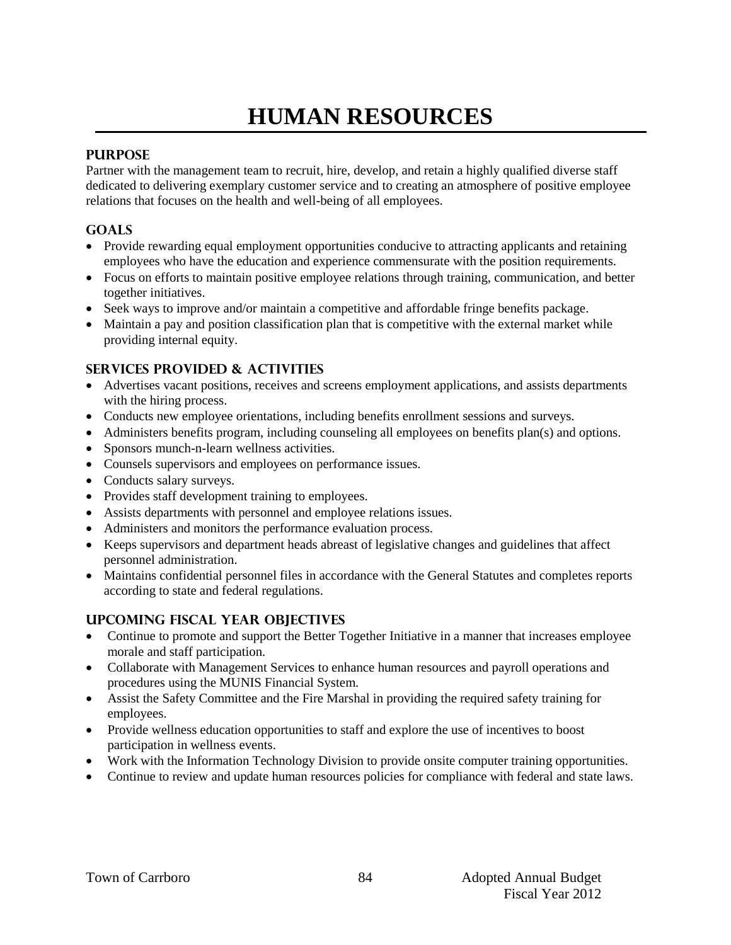# **HUMAN RESOURCES**

#### **PURPOSE**

Partner with the management team to recruit, hire, develop, and retain a highly qualified diverse staff dedicated to delivering exemplary customer service and to creating an atmosphere of positive employee relations that focuses on the health and well-being of all employees.

# **GOALS**

- Provide rewarding equal employment opportunities conducive to attracting applicants and retaining employees who have the education and experience commensurate with the position requirements.
- Focus on efforts to maintain positive employee relations through training, communication, and better together initiatives.
- Seek ways to improve and/or maintain a competitive and affordable fringe benefits package.
- Maintain a pay and position classification plan that is competitive with the external market while providing internal equity.

# **SERVICES PROVIDED & ACTIVITIES**

- Advertises vacant positions, receives and screens employment applications, and assists departments with the hiring process.
- Conducts new employee orientations, including benefits enrollment sessions and surveys.
- Administers benefits program, including counseling all employees on benefits plan(s) and options.
- Sponsors munch-n-learn wellness activities.
- Counsels supervisors and employees on performance issues.
- Conducts salary surveys.
- Provides staff development training to employees.
- Assists departments with personnel and employee relations issues.
- Administers and monitors the performance evaluation process.
- Keeps supervisors and department heads abreast of legislative changes and guidelines that affect personnel administration.
- Maintains confidential personnel files in accordance with the General Statutes and completes reports according to state and federal regulations.

# **UPCOMING FISCAL YEAR OBJECTIVES**

- Continue to promote and support the Better Together Initiative in a manner that increases employee morale and staff participation.
- Collaborate with Management Services to enhance human resources and payroll operations and procedures using the MUNIS Financial System.
- Assist the Safety Committee and the Fire Marshal in providing the required safety training for employees.
- Provide wellness education opportunities to staff and explore the use of incentives to boost participation in wellness events.
- Work with the Information Technology Division to provide onsite computer training opportunities.
- Continue to review and update human resources policies for compliance with federal and state laws.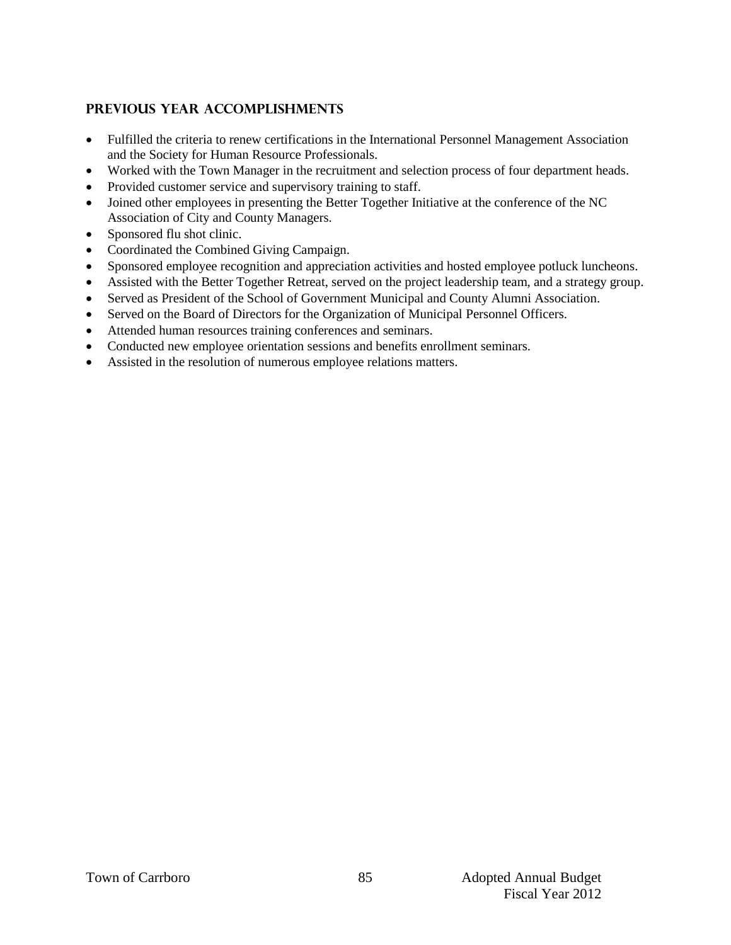# **PREVIOUS YEAR ACCOMPLISHMENTS**

- Fulfilled the criteria to renew certifications in the International Personnel Management Association and the Society for Human Resource Professionals.
- Worked with the Town Manager in the recruitment and selection process of four department heads.
- Provided customer service and supervisory training to staff.
- Joined other employees in presenting the Better Together Initiative at the conference of the NC Association of City and County Managers.
- Sponsored flu shot clinic.
- Coordinated the Combined Giving Campaign.
- Sponsored employee recognition and appreciation activities and hosted employee potluck luncheons.
- Assisted with the Better Together Retreat, served on the project leadership team, and a strategy group.
- Served as President of the School of Government Municipal and County Alumni Association.
- Served on the Board of Directors for the Organization of Municipal Personnel Officers.
- Attended human resources training conferences and seminars.
- Conducted new employee orientation sessions and benefits enrollment seminars.
- Assisted in the resolution of numerous employee relations matters.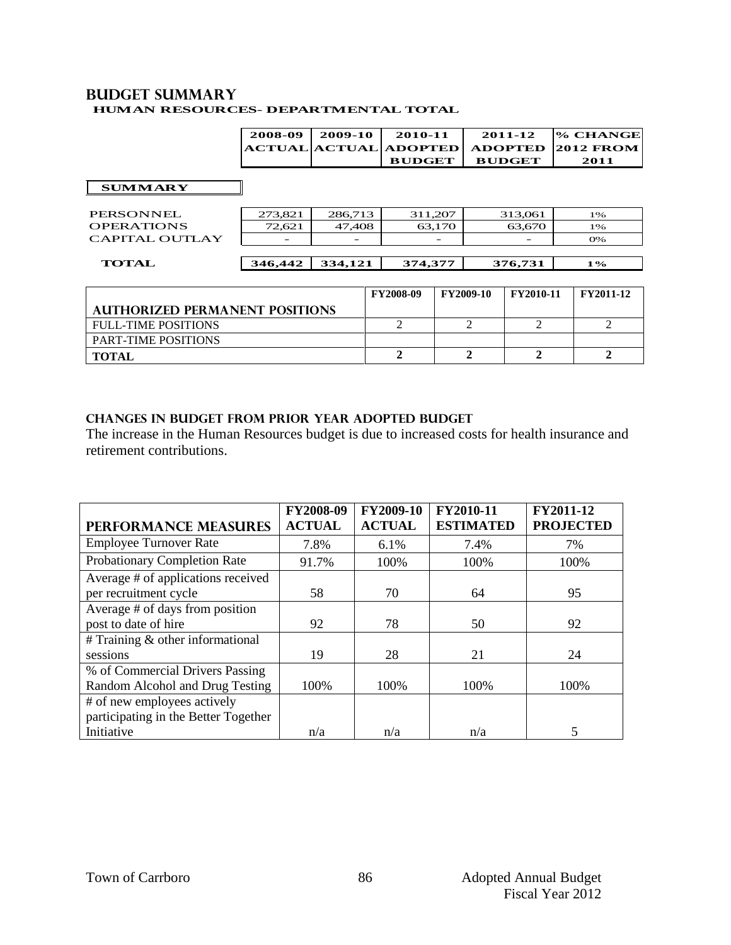#### **Budget summary HUMAN RESOURCES- DEPARTMENTAL TOTAL**

| 2008-09 1 | -2009-10 | 2010-11       | 2011-12                                   | <b>% CHANGE</b> |
|-----------|----------|---------------|-------------------------------------------|-----------------|
|           |          |               | ACTUAL ACTUAL ADOPTED  ADOPTED  2012 FROM |                 |
|           |          | <b>BUDGET</b> | <b>BUDGET</b>                             | 2011            |

#### **SUMMARY**

| PERSONNEL             | 273,821           | 286,713                  | 311,207                  | 313,061           | 1%    |
|-----------------------|-------------------|--------------------------|--------------------------|-------------------|-------|
| <b>OPERATIONS</b>     | 72.621            | 47,408                   | 63,170                   | 63,670            | 1%    |
| <b>CAPITAL OUTLAY</b> | $\qquad \qquad -$ | $\overline{\phantom{0}}$ | $\overline{\phantom{0}}$ | $\qquad \qquad -$ | 0%    |
|                       |                   |                          |                          |                   |       |
|                       |                   |                          |                          |                   |       |
| <b>TOTAL</b>          | 346,442           | 334.121                  | 374,377                  | 376,731           | $1\%$ |

|  | $\vert$ 346.442 $\vert$ 334.121 $\vert$ 374.377 $\vert$ | 376,731 |  |
|--|---------------------------------------------------------|---------|--|

|                                       | <b>FY2008-09</b> | <b>FY2009-10</b> | <b>FY2010-11</b> | <b>FY2011-12</b> |
|---------------------------------------|------------------|------------------|------------------|------------------|
| <b>AUTHORIZED PERMANENT POSITIONS</b> |                  |                  |                  |                  |
| <b>FULL-TIME POSITIONS</b>            |                  |                  |                  |                  |
| <b>PART-TIME POSITIONS</b>            |                  |                  |                  |                  |
| <b>TOTAL</b>                          |                  |                  |                  |                  |

# **changes in budget from prior year adopted budget**

The increase in the Human Resources budget is due to increased costs for health insurance and retirement contributions.

|                                      | FY2008-09     | <b>FY2009-10</b> | FY2010-11        | FY2011-12        |
|--------------------------------------|---------------|------------------|------------------|------------------|
| PERFORMANCE MEASURES                 | <b>ACTUAL</b> | <b>ACTUAL</b>    | <b>ESTIMATED</b> | <b>PROJECTED</b> |
| <b>Employee Turnover Rate</b>        | 7.8%          | 6.1%             | 7.4%             | 7%               |
| Probationary Completion Rate         | 91.7%         | 100%             | 100%             | 100%             |
| Average # of applications received   |               |                  |                  |                  |
| per recruitment cycle                | 58            | 70               | 64               | 95               |
| Average # of days from position      |               |                  |                  |                  |
| post to date of hire                 | 92            | 78               | 50               | 92               |
| $#$ Training $&$ other informational |               |                  |                  |                  |
| sessions                             | 19            | 28               | 21               | 24               |
| % of Commercial Drivers Passing      |               |                  |                  |                  |
| Random Alcohol and Drug Testing      | 100%          | 100%             | 100%             | 100%             |
| # of new employees actively          |               |                  |                  |                  |
| participating in the Better Together |               |                  |                  |                  |
| Initiative                           | n/a           | n/a              | n/a              | 5                |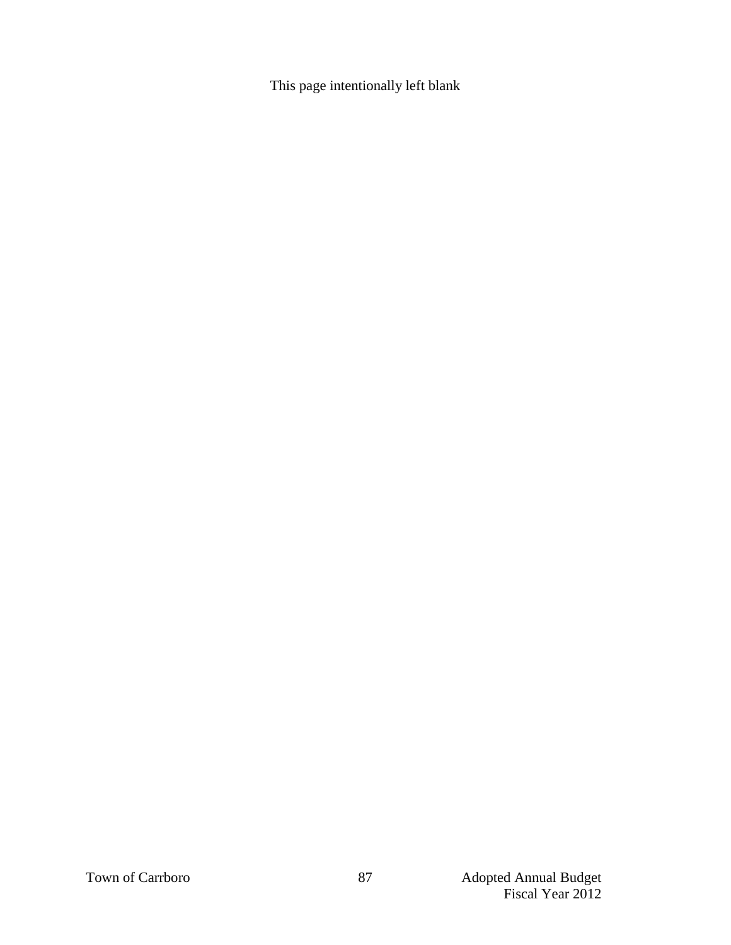This page intentionally left blank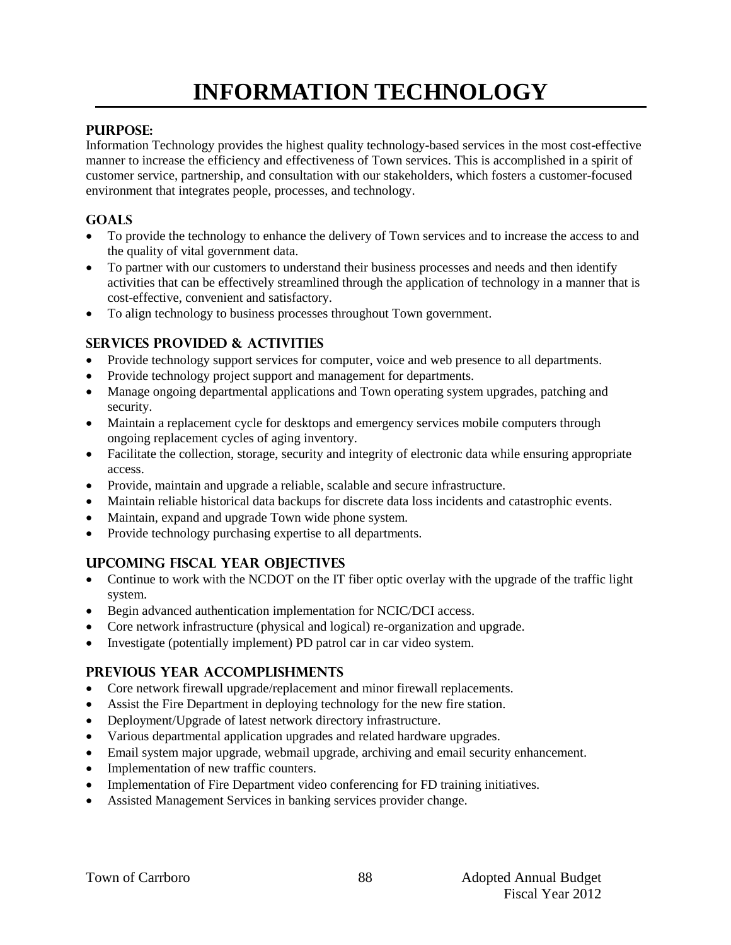# **INFORMATION TECHNOLOGY**

#### **PURPOSE:**

Information Technology provides the highest quality technology-based services in the most cost-effective manner to increase the efficiency and effectiveness of Town services. This is accomplished in a spirit of customer service, partnership, and consultation with our stakeholders, which fosters a customer-focused environment that integrates people, processes, and technology.

#### **Goals**

- To provide the technology to enhance the delivery of Town services and to increase the access to and the quality of vital government data.
- To partner with our customers to understand their business processes and needs and then identify activities that can be effectively streamlined through the application of technology in a manner that is cost-effective, convenient and satisfactory.
- To align technology to business processes throughout Town government.

# **Services provided & activities**

- Provide technology support services for computer, voice and web presence to all departments.
- Provide technology project support and management for departments.
- Manage ongoing departmental applications and Town operating system upgrades, patching and security.
- Maintain a replacement cycle for desktops and emergency services mobile computers through ongoing replacement cycles of aging inventory.
- Facilitate the collection, storage, security and integrity of electronic data while ensuring appropriate access.
- Provide, maintain and upgrade a reliable, scalable and secure infrastructure.
- Maintain reliable historical data backups for discrete data loss incidents and catastrophic events.
- Maintain, expand and upgrade Town wide phone system.
- Provide technology purchasing expertise to all departments.

# **Upcoming Fiscal year objectives**

- Continue to work with the NCDOT on the IT fiber optic overlay with the upgrade of the traffic light system.
- Begin advanced authentication implementation for NCIC/DCI access.
- Core network infrastructure (physical and logical) re-organization and upgrade.
- Investigate (potentially implement) PD patrol car in car video system.

- Core network firewall upgrade/replacement and minor firewall replacements.
- Assist the Fire Department in deploying technology for the new fire station.
- Deployment/Upgrade of latest network directory infrastructure.
- Various departmental application upgrades and related hardware upgrades.
- Email system major upgrade, webmail upgrade, archiving and email security enhancement.
- Implementation of new traffic counters.
- Implementation of Fire Department video conferencing for FD training initiatives.
- Assisted Management Services in banking services provider change.